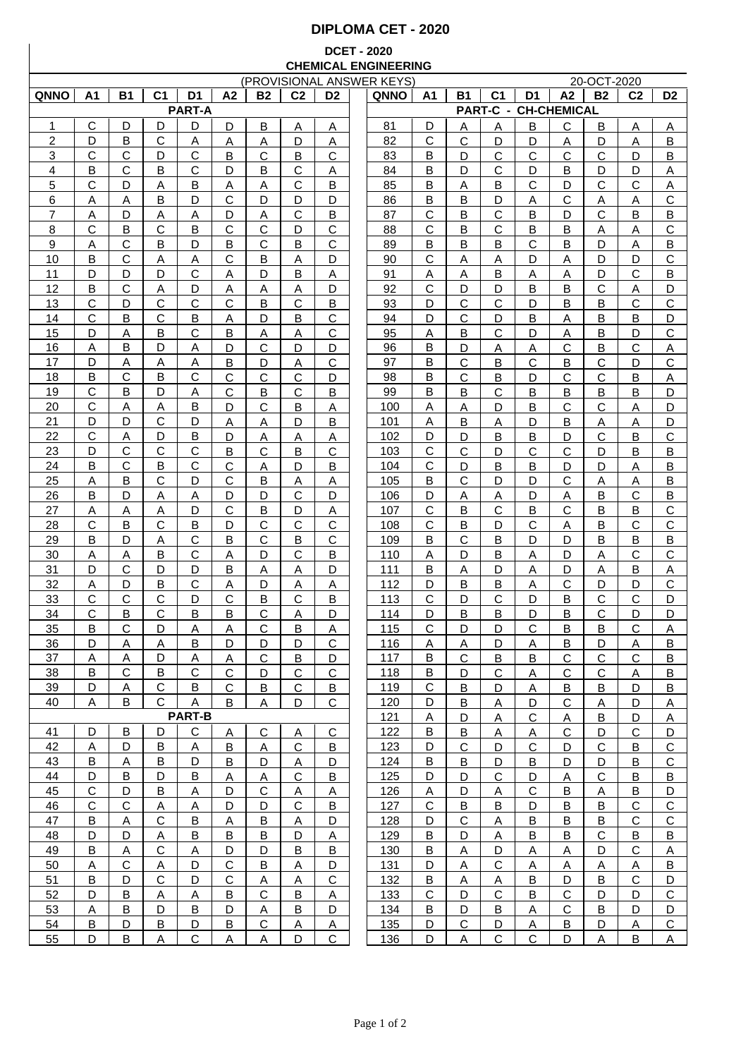## **DIPLOMA CET - 2020**

## **DCET - 2020 CHEMICAL ENGINEERING**

| (PROVISIONAL ANSWER KEYS) |              |                |                |                |                |              |                |                |  |             | 20-OCT-2020    |                |                |              |                             |                |                |                |
|---------------------------|--------------|----------------|----------------|----------------|----------------|--------------|----------------|----------------|--|-------------|----------------|----------------|----------------|--------------|-----------------------------|----------------|----------------|----------------|
| <b>QNNO</b>               | A1           | <b>B1</b>      | C <sub>1</sub> | D <sub>1</sub> | A <sub>2</sub> | <b>B2</b>    | C <sub>2</sub> | D <sub>2</sub> |  | <b>QNNO</b> | Α1             | Β1             | C <sub>1</sub> | D1           | A2                          | <b>B2</b>      | C <sub>2</sub> | D <sub>2</sub> |
|                           |              |                |                | <b>PART-A</b>  |                |              |                |                |  |             |                |                |                |              | <b>PART-C - CH-CHEMICAL</b> |                |                |                |
| 1                         | С            | D              | D              | D              | D              | B            | A              | Α              |  | 81          | D              | Α              | A              | B            | $\mathsf{C}$                | B              | Α              | Α              |
| $\overline{2}$            | D            | в              | С              | Α              | A              | Α            | D              | Α              |  | 82          | C              | С              | D              | D            | A                           | D              | A              | B              |
| 3                         | C            | С              | D              | C              | B              | С            | B              | C              |  | 83          | B              | D              | C              | C            | $\mathsf{C}$                | С              | D              | B              |
| 4                         | B            | С              | B              | $\mathsf{C}$   | D              | B            | $\mathsf{C}$   | Α              |  | 84          | B              | D              | $\mathsf{C}$   | D            | B                           | D              | D              | Α              |
|                           |              |                |                |                |                |              |                |                |  |             |                |                |                |              |                             |                |                |                |
| 5                         | C            | D              | A              | B              | A              | Α            | $\mathsf{C}$   | B              |  | 85          | B              | Α              | B              | C            | D                           | $\mathsf{C}$   | $\mathsf{C}$   | Α              |
| 6                         | Α            | Α              | B              | D              | $\mathsf{C}$   | D            | D              | D              |  | 86          | B              | B              | D              | Α            | $\mathsf{C}$                | A              | Α              | $\mathsf C$    |
| 7                         | Α            | D              | Α              | A              | D              | Α            | $\mathsf{C}$   | B              |  | 87          | $\mathbf C$    | B              | $\mathsf{C}$   | B            | D                           | $\mathsf{C}$   | B              | $\sf B$        |
| 8                         | C            | В              | C              | B              | $\mathsf{C}$   | $\mathsf{C}$ | D              | $\mathsf{C}$   |  | 88          | C              | B              | $\mathsf{C}$   | B            | B                           | Α              | A              | $\mathsf C$    |
| 9                         | Α            | С              | B              | D              | B              | C            | B              | C              |  | 89          | B              | B              | B              | C            | B                           | D              | A              | B              |
| 10                        | B            | С              | Α              | A              | $\mathsf{C}$   | B            | Α              | D              |  | 90          | $\mathsf{C}$   | Α              | A              | D            | Α                           | D              | D              | $\mathsf{C}$   |
| 11                        | D            | D              | D              | C              | Α              | D            | B              | Α              |  | 91          | Α              | Α              | B              | Α            | A                           | D              | C              | B              |
| 12                        | B            | C              | Α              | D              | Α              | Α            | A              | D              |  | 92          | С              | D              | D              | в            | B                           | C              | Α              | D              |
| 13                        | C            | D              | C              | C              | $\mathbf C$    | B            | $\mathsf{C}$   | В              |  | 93          | D              | C              | C              | D            | B                           | B              | $\mathsf{C}$   | $\mathsf C$    |
| 14                        | C            | B              | С              | B              | Α              | D            | B              | С              |  | 94          | D              | С              | D              | B            | Α                           | B              | B              | D              |
| 15                        | D            | Α              | в              | С              | B              | Α            | Α              | С              |  | 95          | Α              | B              | С              | D            | Α                           | В              | D              | C              |
| 16                        | Α            | B              | D              | Α              | D              | C            | D              | D              |  | 96          | B              | D              | Α              | Α            | C                           | B              | C              | Α              |
| 17                        | D            | Α              | Α              | Α              | B              | D            | Α              | C              |  | 97          | B              | С              | B              | С            | В                           | С              | D              | С              |
| 18                        | B            | C              | в              | C              | C              | С            | C              | D              |  | 98          | B              | C              | B              | D            | C                           | C              | B              | Α              |
| 19                        | $\mathsf{C}$ | B              | D              | Α              | $\mathsf{C}$   | Β            | $\mathsf{C}$   | Β              |  | 99          | B              | B              | $\mathsf{C}$   | B            | B                           | Β              | B              | D              |
| 20                        | $\mathsf{C}$ |                |                | B              | D              | C            | B              |                |  |             |                |                | D              | B            | $\mathsf{C}$                | $\mathsf{C}$   |                | D              |
|                           |              | Α<br>D         | Α              |                |                |              |                | Α              |  | 100         | Α              | Α              |                |              |                             |                | Α              |                |
| 21                        | D            |                | С              | D              | Α              | Α            | D              | Β              |  | 101         | Α              | B              | Α              | D            | B                           | Α              | Α              | D              |
| 22                        | C            | Α              | D              | B              | D              | Α            | Α              | Α              |  | 102         | D              | D              | B              | B            | D                           | $\mathsf{C}$   | B              | C              |
| 23                        | D            | C              | $\mathsf{C}$   | $\mathsf{C}$   | B              | C            | $\mathsf B$    | $\mathsf{C}$   |  | 103         | $\mathsf{C}$   | $\mathsf{C}$   | D              | $\mathbf C$  | $\mathbf C$                 | D              | B              | $\sf B$        |
| 24                        | В            | C              | в              | C              | C              | Α            | D              | Β              |  | 104         | C              | D              | B              | B            | D                           | D              | Α              | B              |
| 25                        | Α            | B              | С              | D              | $\mathbf C$    | B            | Α              | Α              |  | 105         | B              | C              | D              | D            | $\mathsf{C}$                | Α              | Α              | B              |
| 26                        | B            | D              | Α              | A              | D              | D            | $\mathsf{C}$   | D              |  | 106         | D              | A              | Α              | D            | A                           | B              | C              | B              |
| 27                        | Α            | Α              | Α              | D              | $\mathsf{C}$   | B            | D              | Α              |  | 107         | C              | B              | С              | B            | $\mathsf{C}$                | B              | B              | $\mathsf C$    |
| 28                        | С            | B              | С              | B              | D              | С            | C              | С              |  | 108         | C              | B              | D              | С            | A                           | в              | C              | $\mathsf C$    |
| 29                        | B            | D              | Α              | $\mathsf C$    | B              | C            | B              | $\mathsf{C}$   |  | 109         | B              | С              | B              | D            | D                           | B              | B              | B              |
| 30                        | Α            | Α              | В              | $\mathsf{C}$   | Α              | D            | $\mathsf{C}$   | B              |  | 110         | Α              | D              | B              | Α            | D                           | Α              | C              | $\mathsf C$    |
| 31                        | D            | С              | D              | D              | B              | Α            | A              | D              |  | 111         | B              | Α              | D              | Α            | D                           | Α              | B              | Α              |
| 32                        | Α            | D              | B              | $\mathbf C$    | Α              | D            | A              | Α              |  | 112         | D              | B              | B              | Α            | $\mathsf{C}$                | D              | D              | $\mathsf C$    |
| 33                        | C            | $\mathbf C$    | C              | D              | $\mathsf{C}$   | B            | $\mathsf{C}$   | B              |  | 113         | $\mathsf{C}$   | D              | C              | D            | B                           | $\mathsf{C}$   | C              | D              |
| 34                        | C            | В              | C              | B              | B              | С            | Α              | D              |  | 114         | D              | В              | В              | D            | B                           | C              | D              | D              |
| 35                        | B            | С              | D              | А              | Α              | C            | B              | Α              |  | 115         | C              | D              | D              | Ċ            | B                           | B              | C              | Α              |
|                           |              |                |                |                |                |              | D              | C              |  |             |                |                |                |              |                             |                |                |                |
| <u>36</u><br>37           | D            | A              | A<br>D         | B              | D              | D            |                | D              |  | 116<br>117  | <u>A</u><br>B  | A              | D              | A            | B                           | D              | A              | В              |
|                           | A            | A              |                | A              | A              | C            | B              |                |  |             |                | С              | B              | B            | C                           | C              | C              | $\overline{B}$ |
| 38                        | В            | C              | B              | $\mathsf{C}$   | $\mathsf{C}$   | D            | C              | $\mathbf C$    |  | 118         | B              | D              | $\mathsf{C}$   | $\mathsf{A}$ | C                           | $\mathsf{C}$   | $\mathsf{A}$   | В              |
| 39                        | D            | $\overline{A}$ | $\mathsf{C}$   | B              | $\mathsf{C}$   | B            | C              | В              |  | 119         | C              | В              | D              | $\mathsf{A}$ | B                           | B              | D              | B              |
| 40                        | A            | B              | $\mathbf{C}$   | A              | B              | A            | D              | C              |  | 120         | D              | В              | $\mathsf{A}$   | D            | $\mathsf{C}$                | $\mathsf{A}$   | D              | $\overline{A}$ |
|                           |              |                |                | <b>PART-B</b>  |                |              |                |                |  | 121         | A              | D              | $\mathsf{A}$   | С            | $\mathsf{A}$                | B              | D              | $\overline{A}$ |
| 41                        | D            | В              | D              | C              | A              | $\mathbf C$  | Α              | C              |  | 122         | B              | В              | A              | $\mathsf{A}$ | $\mathsf{C}$                | D              | $\mathbf C$    | D              |
| 42                        | Α            | D              | В              | A              | B              | Α            | С              | В              |  | 123         | D              | C              | D              | C            | D                           | C              | В              | C              |
| 43                        | B            | <u>A</u>       | B              | D              | B              | D            | Α              | D              |  | 124         | B              | В              | D              | В            | D                           | D              | В              | C              |
| 44                        | D            | В              | D              | B              | $\overline{A}$ | <u>A</u>     | $\mathsf{C}$   | $\overline{B}$ |  | 125         | D              | D              | $\mathbf C$    | D            | <u>A</u>                    | C              | B              | $\overline{B}$ |
| 45                        | $\mathbf C$  | D              | B              | Α              | D              | $\mathsf{C}$ | $\overline{A}$ | <u>А</u>       |  | 126         | $\overline{A}$ | D              | $\overline{A}$ | C            | B                           | $\overline{A}$ | B              | D              |
| 46                        | $\mathsf{C}$ | $\mathbf C$    | $\overline{A}$ | $\overline{A}$ | D              | D            | $\mathsf{C}$   | B              |  | 127         | $\mathbf C$    | $\overline{B}$ | B              | D            | B                           | B              | $\mathsf C$    | $\mathsf C$    |
| 47                        | B            | Α              | $\mathbf C$    | В              | <u>A</u>       | B            | $\overline{A}$ | D              |  | 128         | D              | $\mathbf C$    | $\overline{A}$ | В            | B                           | B              | $\mathsf C$    | $\mathsf C$    |
| 48                        | D            | D              | A              | B              | B              | B            | D              | Α              |  | 129         | B              | D              | Α              | В            | B                           | $\mathbf C$    | B              | B              |
| 49                        | B            | Α              | C              | A              | D              | D            | В              | В              |  | 130         | B              | Α              | D              | A            | A                           | D              | $\mathbf C$    | $\overline{A}$ |
| 50                        | A            | $\mathbf C$    | A              | D              | $\mathsf{C}$   | B            | A              | D              |  | 131         | D              | A              | $\mathbf C$    | A            | $\overline{A}$              |                | A              | B              |
|                           |              |                |                |                |                |              |                |                |  |             |                |                |                |              |                             | Α              | $\mathsf{C}$   |                |
| 51                        | B            | D              | C              | D              | C              | A            | A              | C              |  | 132         | B              | Α              | A              | B            | D                           | B              |                | D              |
| 52                        | D            | B              | A              | A              | В              | C            | B              | Α              |  | 133         | $\mathbf C$    | D              | C              | B            | C                           | D              | D              | $\mathsf C$    |
| 53                        | A            | В              | D              | В              | D              | A            | B              | D              |  | 134         | В              | D              | B              | A            | C                           | В              | D              | D              |
| 54                        | В            | D              | В              | D              | В              | С            | Α              | Α              |  | 135         | D              | C              | D              | Α            | В                           | D              | Α              | $\mathsf C$    |
| 55                        | D            | B              | A              | $\mathbf C$    | A              | A            | D              | $\mathsf C$    |  | 136         | D              | Α              | C              | $\mathbf C$  | D                           | Α              | B              | A              |